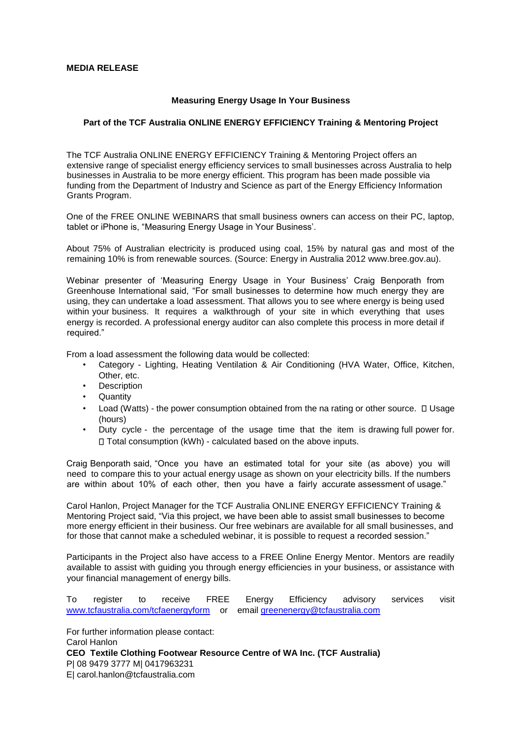## **MEDIA RELEASE**

## **Measuring Energy Usage In Your Business**

## **Part of the TCF Australia ONLINE ENERGY EFFICIENCY Training & Mentoring Project**

The TCF Australia ONLINE ENERGY EFFICIENCY Training & Mentoring Project offers an extensive range of specialist energy efficiency services to small businesses across Australia to help businesses in Australia to be more energy efficient. This program has been made possible via funding from the Department of Industry and Science as part of the Energy Efficiency Information Grants Program.

One of the FREE ONLINE WEBINARS that small business owners can access on their PC, laptop, tablet or iPhone is, "Measuring Energy Usage in Your Business'.

About 75% of Australian electricity is produced using coal, 15% by natural gas and most of the remaining 10% is from renewable sources. (Source: Energy in Australia 2012 www.bree.gov.au).

Webinar presenter of 'Measuring Energy Usage in Your Business' Craig Benporath from Greenhouse International said, "For small businesses to determine how much energy they are using, they can undertake a load assessment. That allows you to see where energy is being used within your business. It requires a walkthrough of your site in which everything that uses energy is recorded. A professional energy auditor can also complete this process in more detail if required."

From a load assessment the following data would be collected:

- Category Lighting, Heating Ventilation & Air Conditioning (HVA Water, Office, Kitchen, Other, etc.
- **Description**
- **Quantity**
- Load (Watts) the power consumption obtained from the na rating or other source.  $\Box$  Usage (hours)
- Duty cycle the percentage of the usage time that the item is drawing full power for. □ Total consumption (kWh) - calculated based on the above inputs.

Craig Benporath said, "Once you have an estimated total for your site (as above) you will need to compare this to your actual energy usage as shown on your electricity bills. If the numbers are within about 10% of each other, then you have a fairly accurate assessment of usage."

Carol Hanlon, Project Manager for the TCF Australia ONLINE ENERGY EFFICIENCY Training & Mentoring Project said, "Via this project, we have been able to assist small businesses to become more energy efficient in their business. Our free webinars are available for all small businesses, and for those that cannot make a scheduled webinar, it is possible to request a recorded session."

Participants in the Project also have access to a FREE Online Energy Mentor. Mentors are readily available to assist with guiding you through energy efficiencies in your business, or assistance with your financial management of energy bills.

To register to receive FREE Energy Efficiency advisory services visit www.tcfaustralia.com/tcfaenergyform or email greenenergy@tcfaustralia.com

For further information please contact: Carol Hanlon **CEO Textile Clothing Footwear Resource Centre of WA Inc. (TCF Australia)**  P| 08 9479 3777 M| 0417963231 E| carol.hanlon@tcfaustralia.com